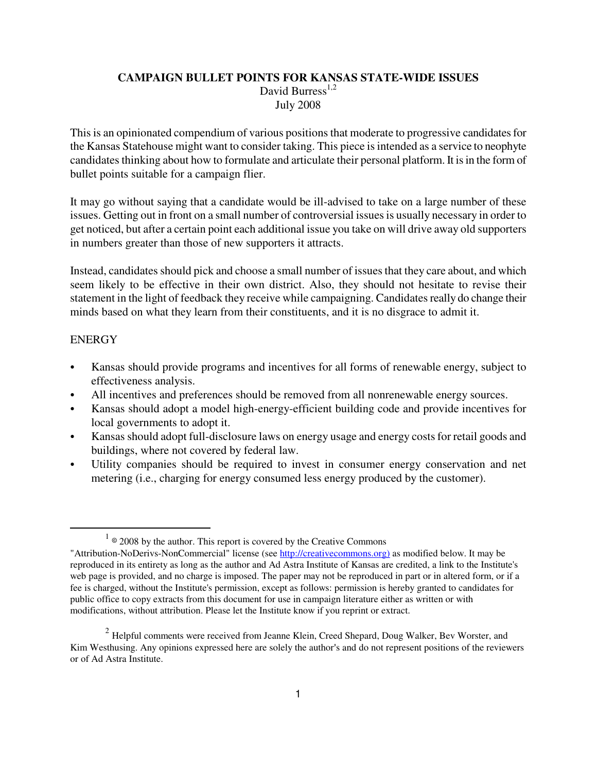#### **CAMPAIGN BULLET POINTS FOR KANSAS STATE-WIDE ISSUES**  David Burress $^{1,2}$ July 2008

This is an opinionated compendium of various positions that moderate to progressive candidates for the Kansas Statehouse might want to consider taking. This piece is intended as a service to neophyte candidates thinking about how to formulate and articulate their personal platform. It is in the form of bullet points suitable for a campaign flier.

It may go without saying that a candidate would be ill-advised to take on a large number of these issues. Getting out in front on a small number of controversial issues is usually necessary in order to get noticed, but after a certain point each additional issue you take on will drive away old supporters in numbers greater than those of new supporters it attracts.

Instead, candidates should pick and choose a small number of issues that they care about, and which seem likely to be effective in their own district. Also, they should not hesitate to revise their statement in the light of feedback they receive while campaigning. Candidates really do change their minds based on what they learn from their constituents, and it is no disgrace to admit it.

#### **ENERGY**

 $\overline{a}$ 

- Kansas should provide programs and incentives for all forms of renewable energy, subject to effectiveness analysis.
- All incentives and preferences should be removed from all nonrenewable energy sources.
- Kansas should adopt a model high-energy-efficient building code and provide incentives for local governments to adopt it.
- Kansas should adopt full-disclosure laws on energy usage and energy costs for retail goods and buildings, where not covered by federal law.
- Utility companies should be required to invest in consumer energy conservation and net metering (i.e., charging for energy consumed less energy produced by the customer).

 $1 \circ 2008$  by the author. This report is covered by the Creative Commons

<sup>&</sup>quot;Attribution-NoDerivs-NonCommercial" license (see http://creativecommons.org) as modified below. It may be reproduced in its entirety as long as the author and Ad Astra Institute of Kansas are credited, a link to the Institute's web page is provided, and no charge is imposed. The paper may not be reproduced in part or in altered form, or if a fee is charged, without the Institute's permission, except as follows: permission is hereby granted to candidates for public office to copy extracts from this document for use in campaign literature either as written or with modifications, without attribution. Please let the Institute know if you reprint or extract.

 $2$  Helpful comments were received from Jeanne Klein, Creed Shepard, Doug Walker, Bev Worster, and Kim Westhusing. Any opinions expressed here are solely the author's and do not represent positions of the reviewers or of Ad Astra Institute.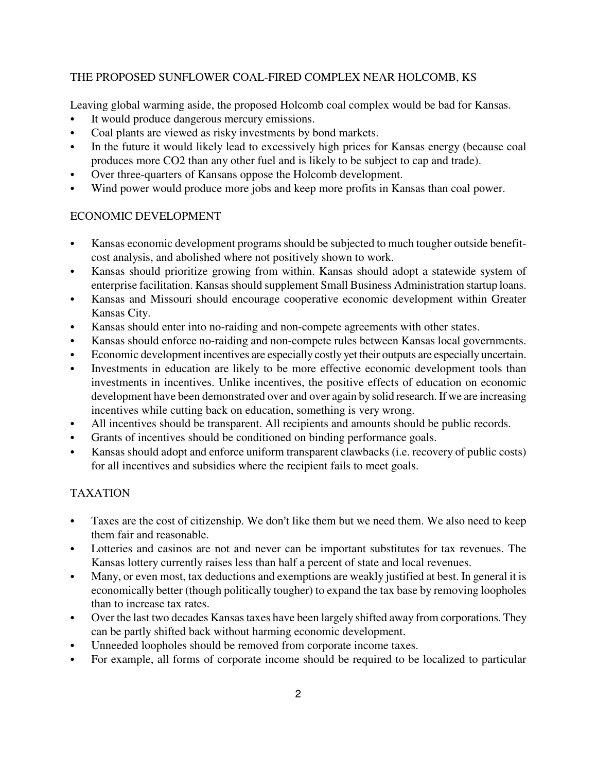### THE PROPOSED SUNFLOWER COAL-FIRED COMPLEX NEAR HOLCOMB, KS

Leaving global warming aside, the proposed Holcomb coal complex would be bad for Kansas.

- It would produce dangerous mercury emissions.
- Coal plants are viewed as risky investments by bond markets.
- In the future it would likely lead to excessively high prices for Kansas energy (because coal produces more CO2 than any other fuel and is likely to be subject to cap and trade).
- Over three-quarters of Kansans oppose the Holcomb development.
- Wind power would produce more jobs and keep more profits in Kansas than coal power.

#### ECONOMIC DEVELOPMENT

- Kansas economic development programs should be subjected to much tougher outside benefitcost analysis, and abolished where not positively shown to work.
- Kansas should prioritize growing from within. Kansas should adopt a statewide system of enterprise facilitation. Kansas should supplement Small Business Administration startup loans.
- Kansas and Missouri should encourage cooperative economic development within Greater Kansas City.
- Kansas should enter into no-raiding and non-compete agreements with other states.
- Kansas should enforce no-raiding and non-compete rules between Kansas local governments.
- Economic development incentives are especially costly yet their outputs are especially uncertain.
- Investments in education are likely to be more effective economic development tools than investments in incentives. Unlike incentives, the positive effects of education on economic development have been demonstrated over and over again by solid research. If we are increasing incentives while cutting back on education, something is very wrong.
- All incentives should be transparent. All recipients and amounts should be public records.
- Grants of incentives should be conditioned on binding performance goals.
- Kansas should adopt and enforce uniform transparent clawbacks (i.e. recovery of public costs) for all incentives and subsidies where the recipient fails to meet goals.

### TAXATION

- Taxes are the cost of citizenship. We don't like them but we need them. We also need to keep them fair and reasonable.
- Lotteries and casinos are not and never can be important substitutes for tax revenues. The Kansas lottery currently raises less than half a percent of state and local revenues.
- Many, or even most, tax deductions and exemptions are weakly justified at best. In general it is economically better (though politically tougher) to expand the tax base by removing loopholes than to increase tax rates.
- Over the last two decades Kansas taxes have been largely shifted away from corporations. They can be partly shifted back without harming economic development.
- Unneeded loopholes should be removed from corporate income taxes.
- For example, all forms of corporate income should be required to be localized to particular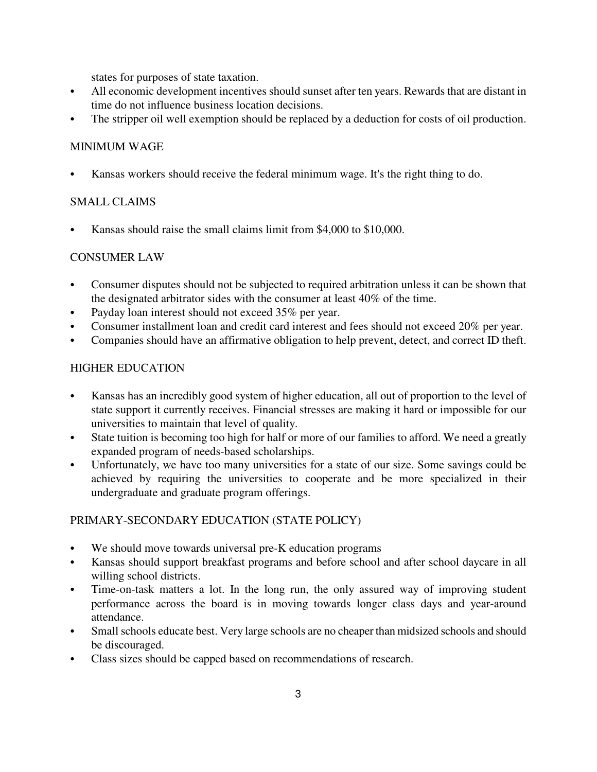states for purposes of state taxation.

- All economic development incentives should sunset after ten years. Rewards that are distant in time do not influence business location decisions.
- The stripper oil well exemption should be replaced by a deduction for costs of oil production.

### MINIMUM WAGE

Kansas workers should receive the federal minimum wage. It's the right thing to do.

## SMALL CLAIMS

Kansas should raise the small claims limit from \$4,000 to \$10,000.

## CONSUMER LAW

- Consumer disputes should not be subjected to required arbitration unless it can be shown that the designated arbitrator sides with the consumer at least 40% of the time.
- Payday loan interest should not exceed 35% per year.
- Consumer installment loan and credit card interest and fees should not exceed 20% per year.
- Companies should have an affirmative obligation to help prevent, detect, and correct ID theft.

## HIGHER EDUCATION

- Kansas has an incredibly good system of higher education, all out of proportion to the level of state support it currently receives. Financial stresses are making it hard or impossible for our universities to maintain that level of quality.
- State tuition is becoming too high for half or more of our families to afford. We need a greatly expanded program of needs-based scholarships.
- Unfortunately, we have too many universities for a state of our size. Some savings could be achieved by requiring the universities to cooperate and be more specialized in their undergraduate and graduate program offerings.

### PRIMARY-SECONDARY EDUCATION (STATE POLICY)

- We should move towards universal pre-K education programs
- Kansas should support breakfast programs and before school and after school daycare in all willing school districts.
- Time-on-task matters a lot. In the long run, the only assured way of improving student performance across the board is in moving towards longer class days and year-around attendance.
- Small schools educate best. Very large schools are no cheaper than midsized schools and should be discouraged.
- Class sizes should be capped based on recommendations of research.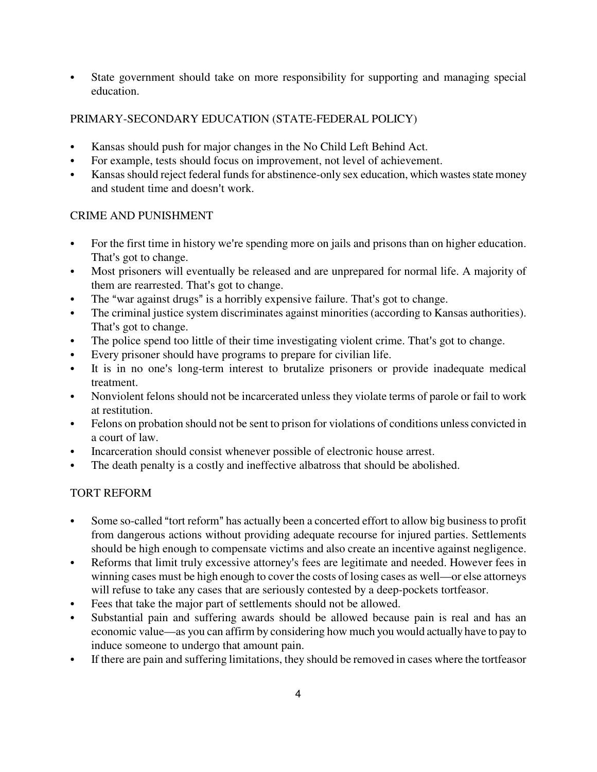• State government should take on more responsibility for supporting and managing special education.

## PRIMARY-SECONDARY EDUCATION (STATE-FEDERAL POLICY)

- Kansas should push for major changes in the No Child Left Behind Act.
- For example, tests should focus on improvement, not level of achievement.
- Kansas should reject federal funds for abstinence-only sex education, which wastes state money and student time and doesn't work.

## CRIME AND PUNISHMENT

- For the first time in history we're spending more on jails and prisons than on higher education. That's got to change.
- Most prisoners will eventually be released and are unprepared for normal life. A majority of them are rearrested. That's got to change.
- The "war against drugs" is a horribly expensive failure. That's got to change.
- The criminal justice system discriminates against minorities (according to Kansas authorities). That's got to change.
- The police spend too little of their time investigating violent crime. That's got to change.
- Every prisoner should have programs to prepare for civilian life.
- It is in no one's long-term interest to brutalize prisoners or provide inadequate medical treatment.
- Nonviolent felons should not be incarcerated unless they violate terms of parole or fail to work at restitution.
- Felons on probation should not be sent to prison for violations of conditions unless convicted in a court of law.
- Incarceration should consist whenever possible of electronic house arrest.
- The death penalty is a costly and ineffective albatross that should be abolished.

# TORT REFORM

- Some so-called "tort reform" has actually been a concerted effort to allow big business to profit from dangerous actions without providing adequate recourse for injured parties. Settlements should be high enough to compensate victims and also create an incentive against negligence.
- Reforms that limit truly excessive attorney's fees are legitimate and needed. However fees in winning cases must be high enough to cover the costs of losing cases as well—or else attorneys will refuse to take any cases that are seriously contested by a deep-pockets tortfeasor.
- Fees that take the major part of settlements should not be allowed.
- Substantial pain and suffering awards should be allowed because pain is real and has an economic value—as you can affirm by considering how much you would actually have to pay to induce someone to undergo that amount pain.
- If there are pain and suffering limitations, they should be removed in cases where the tortfeasor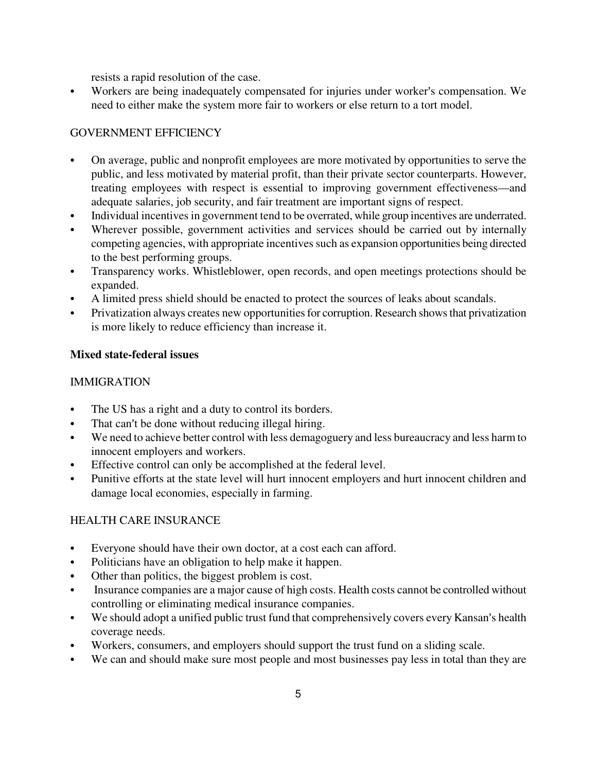resists a rapid resolution of the case.

• Workers are being inadequately compensated for injuries under worker's compensation. We need to either make the system more fair to workers or else return to a tort model.

### GOVERNMENT EFFICIENCY

- On average, public and nonprofit employees are more motivated by opportunities to serve the public, and less motivated by material profit, than their private sector counterparts. However, treating employees with respect is essential to improving government effectiveness—and adequate salaries, job security, and fair treatment are important signs of respect.
- Individual incentives in government tend to be overrated, while group incentives are underrated.
- Wherever possible, government activities and services should be carried out by internally competing agencies, with appropriate incentives such as expansion opportunities being directed to the best performing groups.
- Transparency works. Whistleblower, open records, and open meetings protections should be expanded.
- A limited press shield should be enacted to protect the sources of leaks about scandals.
- Privatization always creates new opportunities for corruption. Research shows that privatization is more likely to reduce efficiency than increase it.

#### **Mixed state-federal issues**

#### IMMIGRATION

- The US has a right and a duty to control its borders.
- That can't be done without reducing illegal hiring.
- We need to achieve better control with less demagoguery and less bureaucracy and less harm to innocent employers and workers.
- Effective control can only be accomplished at the federal level.
- Punitive efforts at the state level will hurt innocent employers and hurt innocent children and damage local economies, especially in farming.

### HEALTH CARE INSURANCE

- Everyone should have their own doctor, at a cost each can afford.
- Politicians have an obligation to help make it happen.
- Other than politics, the biggest problem is cost.
- Insurance companies are a major cause of high costs. Health costs cannot be controlled without controlling or eliminating medical insurance companies.
- We should adopt a unified public trust fund that comprehensively covers every Kansan's health coverage needs.
- Workers, consumers, and employers should support the trust fund on a sliding scale.
- We can and should make sure most people and most businesses pay less in total than they are